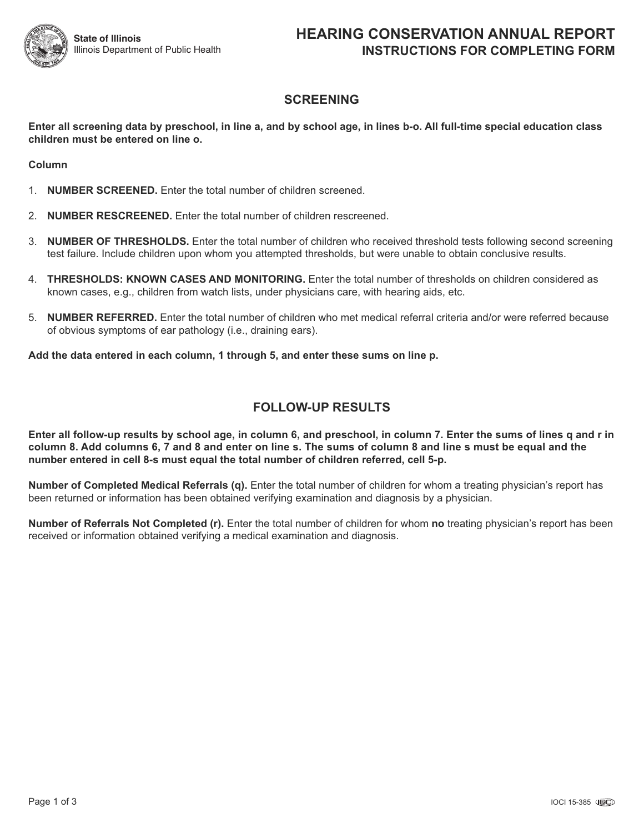

# **SCREENING**

Enter all screening data by preschool, in line a, and by school age, in lines b-o. All full-time special education class **children must be entered on line o.**

**Column**

- 1. **NUMBER SCREENED.** Enter the total number of children screened.
- 2. **NUMBER RESCREENED.** Enter the total number of children rescreened.
- 3. **NUMBER OF THRESHOLDS.** Enter the total number of children who received threshold tests following second screening test failure. Include children upon whom you attempted thresholds, but were unable to obtain conclusive results.
- 4. **THRESHOLDS: KNOWN CASES AND MONITORING.** Enter the total number of thresholds on children considered as known cases, e.g., children from watch lists, under physicians care, with hearing aids, etc.
- 5. **NUMBER REFERRED.** Enter the total number of children who met medical referral criteria and/or were referred because of obvious symptoms of ear pathology (i.e., draining ears).

**Add the data entered in each column, 1 through 5, and enter these sums on line p.**

## **FOLLOW-UP RESULTS**

Enter all follow-up results by school age, in column 6, and preschool, in column 7. Enter the sums of lines q and r in column 8. Add columns 6, 7 and 8 and enter on line s. The sums of column 8 and line s must be equal and the **number entered in cell 8-s must equal the total number of children referred, cell 5-p.**

**Number of Completed Medical Referrals (q).** Enter the total number of children for whom a treating physician's report has been returned or information has been obtained verifying examination and diagnosis by a physician.

**Number of Referrals Not Completed (r).** Enter the total number of children for whom **no** treating physician's report has been received or information obtained verifying a medical examination and diagnosis.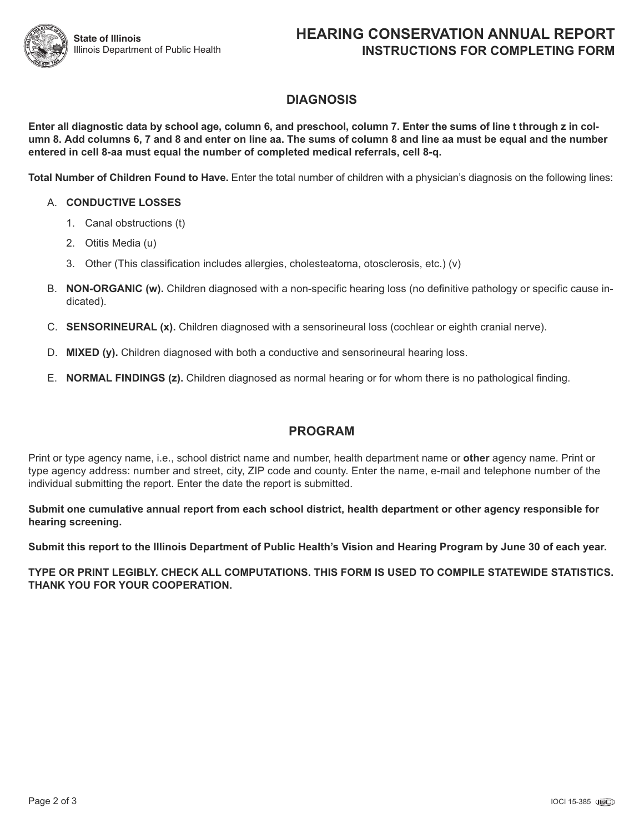# **DIAGNOSIS**

Enter all diagnostic data by school age, column 6, and preschool, column 7. Enter the sums of line t through z in column 8. Add columns 6, 7 and 8 and enter on line aa. The sums of column 8 and line aa must be equal and the number **entered in cell 8-aa must equal the number of completed medical referrals, cell 8-q.**

**Total Number of Children Found to Have.** Enter the total number of children with a physician's diagnosis on the following lines:

#### A. **CONDUCTIVE LOSSES**

- 1. Canal obstructions (t)
- 2. Otitis Media (u)
- 3. Other (This classification includes allergies, cholesteatoma, otosclerosis, etc.) (v)
- B. **NON-ORGANIC (w).** Children diagnosed with a non-specific hearing loss (no definitive pathology or specific cause indicated).
- C. **SENSORINEURAL (x).** Children diagnosed with a sensorineural loss (cochlear or eighth cranial nerve).
- D. **MIXED (y).** Children diagnosed with both a conductive and sensorineural hearing loss.
- E. **NORMAL FINDINGS (z).** Children diagnosed as normal hearing or for whom there is no pathological finding.

## **PROGRAM**

Print or type agency name, i.e., school district name and number, health department name or **other** agency name. Print or type agency address: number and street, city, ZIP code and county. Enter the name, e-mail and telephone number of the individual submitting the report. Enter the date the report is submitted.

**Submit one cumulative annual report from each school district, health department or other agency responsible for hearing screening.**

Submit this report to the Illinois Department of Public Health's Vision and Hearing Program by June 30 of each year.

**TYPE OR PRINT LEGIBLY. CHECK ALL COMPUTATIONS. THIS FORM IS USED TO COMPILE STATEWIDE STATISTICS. THANK YOU FOR YOUR COOPERATION.**